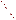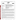## **THE ENVIRONMENTAL TECHNOLOGY VERIFICATION**







# **ETV Joint Verification Statement**

| <b>TECHNOLOGY TYPE:</b> | <b>ENVIRONMENTAL DECISION SUPPORT SOFTWARE</b>                                                                           |
|-------------------------|--------------------------------------------------------------------------------------------------------------------------|
| <b>APPLICATION:</b>     | INTEGRATION, VISUALIZATION, SAMPLE OPTIMIZATION,<br>COST-BENEFIT, AND RISK ANALYSIS OF ENVIRONMENTAL<br><b>DATA SETS</b> |
| <b>TECHNOLOGY NAME:</b> | <b>Spatial Analysis and Decision Assistance (SADA)</b>                                                                   |
| <b>COMPANY:</b>         | University of Tennessee Research Corporation (UTRC)<br>1534 White Avenue, Suite 403<br><b>Knoxville, TN 37996-1527</b>   |
| <b>PHONE:</b>           | $(865)$ 241-5741                                                                                                         |
| <b>WEBSITE:</b>         | www.sis.utk.edu/cis/SADA                                                                                                 |

The U.S. Environmental Protection Agency (EPA) has created the Environmental Technology Verification Program (ETV) to facilitate the deployment of innovative or improved environmental technologies through performance verification and dissemination of information. The goal of the ETV Program is to further environmental protection by substantially accelerating the acceptance and use of improved and cost-effective technologies. ETV seeks to achieve this goal by providing high-quality, peer-reviewed data on technology performance to those involved in the design, distribution, financing, permitting, purchase, and use of environmental technologies.

ETV works in partnership with recognized standards and testing organizations and stakeholder groups consisting of regulators, buyers, and vendor organizations, with the full participation of individual technology developers. The program evaluates the performance of innovative technologies by developing test plans that are responsive to the needs of stakeholders, conducting field or laboratory tests (as appropriate), collecting and analyzing data, and preparing peer-reviewed reports. All evaluations are conducted in accordance with rigorous quality assurance protocols to ensure that data of known and adequate quality are generated and that the results are defensible.

The Site Characterization and Monitoring Technologies Pilot (SCMT), one of 12 technology areas under ETV, is administered by EPA's National Exposure Research Laboratory (NERL). With the support of the U.S. Department of Energy's (DOE's) Environmental Management (EM) program, NERL selected a team from Brookhaven National Laboratory (BNL) and Oak Ridge National Laboratory (ORNL) to perform the verification of environmental decision support software. This verification statement provides a summary of the test results of a demonstration of the University of Tennessee Research Corporation's (UTRC's) Spatial Analysis and Decision Assistance (SADA)<sup>™</sup> environmental decision support software product.

#### **DEMONSTRATION DESCRIPTION**

In September 1998, the performance of five decision support software (DSS) products were evaluated at the New Mexico Engineering Research Institute located in Albuquerque, New Mexico. In October 1998, a sixth DSS product was tested at BNL in Upton, New York. Each technology was independently evaluated by comparing its analysis results with measured field data and, in some cases, known analytical solutions to the problem.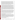Depending on the software, each was assessed for its ability to evaluate one or more of the following endpoints of environmental remediation problems: visualization, sample optimization, and cost-benefit analysis. The capabilities of the DSS were evaluated in the following areas: (1) the effectiveness of integrating data and models to produce information that supports the decision, and (2) the information and approach used to support the analysis. Secondary evaluation objectives were to examine the DSS for its reliability, resource requirements, range of applicability, and ease of operation. The verification study focused on the developers' analysis of multiple test problems with different levels of complexity. Each developer analyzed a minimum of three test problems. These test problems, generated mostly from actual environmental data from six real remediation sites, were identified as Sites A, B, D, N, S, and T. The use of real data challenged the software systems because of the variability in natural systems.

The University of Tennessee Research Corporation (UTRC) demonstrated Spatial Analysis and Decision Assistance (SADA) by performing visualization, sample optimization, and cost-benefit analysis for Sites N and S. Site N had two separate problems, and both were evaluated using SADA. The Site N problems were two-dimensional (2-D) soil contamination problems for three heavy metals (arsenic, chromium, and cadmium). In the Site N sample optimization problem, data were supplied over a limited area of the site, and the analyst was asked to develop a sampling strategy that characterized the remainder of the 125-acre site while taking only 80 additional samples. The Site N cost-benefit problem contained 524 data points on a 14acre region of the site and required the analyst to perform a cost-benefit analysis of the remediation costs vs cleanup goal for each of the three contaminants. In addition, the analyst was asked to estimate the human health risks based on current conditions. The Site S test problem was a three-dimensional (3-D) groundwater contamination cost-benefit problem for a single contaminant (chlordane). The analyst was provided with a series of wells containing chlordane concentrations as a function of depth. The analyst was asked to define the region, mass, and volume of the plume at contaminant threshold concentrations of 5 and 500 µg/L. Based on this information and groundwater flow rates, estimates of current and future human health risks were requested.

SADA was used to integrate large quantities of data into a visual framework for assistance in understanding a site's contamination problem. For the Site N sample optimization problem, the data were used to develop a sampling scheme to characterize the site. Upon completion of the data-collection phase of the problem, maps with the probability of exceeding threshold concentrations were provided. For the Site N cost-benefit problem, SADA was used to estimate the cost of cleanup versus the cleanup threshold. Human health risks were evaluated on the basis of current conditions. For the Site S problem, SADA was used to estimate the volume of contamination above threshold levels and human health risks based on current conditions.

Details of the demonstration, including an evaluation of the software's performance, may be found in the report entitled *Environmental Technology Verification Report: University of Tennessee Research Corporation, Spatial Analysis and Decision Assistance (SADA),* EPA/600/R-00/036.

## **TECHNOLOGY DESCRIPTION**

SADA is an environmental software product that incorporates tools from various fields — including visualization, geospatial analysis, statistical analysis, human health risk assessment, cost-benefit analysis, sampling design, and decision analysis — into a dynamic and interactive environment. Each of these modules can be used independently or in an integrated fashion to address site-specific concerns in the characterization and remedial action design. SADA was designed to simplify and streamline several of the processes in environmental characterization, risk assessment, and cost-benefit analysis to bring the information together in a way that can help users make decisions about their particular site in a quick and cost-effective manner. SADA is designed to assist environmental professionals who need to examine the data within a spatial context. SADA runs on Windows 95, 98, and NT platforms.

### **VERIFICATION OF PERFORMANCE**

The following performance characteristics of SADA were observed: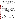*Decision Support:* SADA was designed as a decision support tool and directly addresses environmental questions such as (1) the location and size of the area of contamination, (2) the size of the cleanup zone at a specified contaminant threshold concentration or risk level, (3) the confidence in predicting the area of contamination or cleanup zone, (4) the costs for remediating the cleanup zone, (5) the human health risks, and (6) the optimal location for the next set of samples to best define the extent of contamination. In the demonstration, UTRC was able to use SADA to quickly import data on contaminant concentrations, overlay site maps, and integrate this information on a single platform. SADA demonstrated the ability to place the information in a visual context and produced 2-D and 3-D maps that support data interpretation and decision making. SADA was used in the demonstration to automatically generate maps showing contaminant concentration, recommended cleanup zones, cost-benefit curves, and human health risk. These maps can be based on the probability of exceeding specified contaminant threshold concentrations or risk levels and at specified probability levels. SADA was also used to predict new sample locations based on statistical and/or geostatistical analyses of the existing data.

*Documentation of the SADA Analysis:* UTRC staff used SADA to generate reports that provided an adequate explanation of the process and parameters used to analyze each problem. Documentation of data transfer, manipulations of the data (e.g., how to treat contamination data as a function of depth in a well), and analyses were included. Model selection and parameters for statistical analysis and contouring were also provided in the exportable documentation.

*Comparison with Baseline Analysis and Data:* SADA was able to generate 2-D and 3-D maps of contaminant concentrations, human health risk, probability of exceeding contaminant threshold concentrations as a function of degree of probability, and remedial zone maps for specified contaminant thresholds and probability levels. The maps included posting of data at the sample location, color coding of sample points to represent a parameter (concentration or risk), contaminant concentration contours, human health point risks, and human health risk contours. SADA also generated cost-benefit curves for the cost of remediation vs the cleanup threshold. These curves could be calculated for varying degrees of probability in the data. For the Site N sample optimization problem, the SADA analysis generated an acceptable match to the data and the baseline analysis. When compared with the baseline geostatistical analysis that used the entire data set, SADA identified approximately 75% of the site that had arsenic contamination above 125 mg/kg with the constraint of an additional 80 samples to characterize the entire 125-acre site. For the Site N costbenefit problem, contaminant contour and probability maps were consistent with the baseline interpolation and geostatistical analysis. Estimates of the area where the contamination exceeded the threshold concentrations matched, to within 21%, the baseline interpolation and geostatistical analyses at the 50% probability levels. Likewise, the area estimates at the 90% probability level were within 21% of the baseline analyses and geostatistical analysis. The slight differences between SADA and the baseline analysis were due to the different parameters used for interpolation. For the Site S cost-benefit test problem, at the 50% probability level there is good agreement between SADA, the baseline analysis using Surfer<sup>™</sup>, and the baseline geostatistical analysis. In fact, all three area estimates are within 13% of each other, indicating agreement. For the 10% probability level, the SADA area estimates are  $6\%$  less at the  $5-\mu\alpha/L$  threshold and 9% less at 500-µg/L than the baseline area estimates. The difference between the SADA results and the baseline analysis is due to the slightly different selection of boundaries of contamination and kriging parameters selected for the analyses. Overall, there is close agreement among the area estimates produced by SADA and the baseline geostatistical analysis. Both the noncarcinogenic and carcinogenic risks calculated by SADA for Site N and Site S were accurate and consistent with the baseline analysis and EPA's risk assessment guidance for Superfund for all of the test problems.

*Multiple Lines of Reasoning: UTRC staff conducted multiple data explorations and evaluations that were* supported by the statistical and geostatistical functions in SADA. This information provided a quantitative measure of the confidence that could be placed in the decision. Several data interpolation routines were considered on a problem-specific basis before UTRC staff selected the best one for data analysis. Several sample optimization schemes are available for use. Selection of a particular scheme depends on the objectives of the analysis and the amount of data.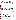In addition to performance criteria, the following secondary criteria were evaluated:

*Ease of Use:* The demonstration showed that SADA was easy to use. The SADA graphical user interface has a logical structure to facilitate use of the options in the software package. SADA accepts database files in comma-delimited format; however, database files were supplied in .dbf format. The analyst imported the .dbf files into another software program (Microsoft Excel) and converted them into comma-delimited files. Drawing and map files could be read in .dxf format. Other common image file formats such as .jpg and .bmp were not supported. Visualization results can be output to any other Windows application that supports the use of the Clipboard, including commonly available software (e.g., Microsoft PowerPoint, Word, and WordPerfect).

*Efficiency and Range of Applicability:* SADA relies on a flexible database format with user-defined inputs. This provides a flexible platform that addresses problems efficiently and is tailored to the problem under study. The database permits filtering on the contaminant identifier and location. SADA has an auxiliary database that contains contaminants identified by name and Chemical Abstract Service (CAS) number. This feature facilitates data checking. SADA also has databases containing toxicological and exposure scenario parameters. These databases facilitate human health risk assessment. The software provides analysis on spatially correlated data and can simulate a wide range of environmental media and conditions (e.g., contaminant in groundwater, soil, sediment, or surface water; multiple contaminants on a single site) to be evaluated.

*Training and Technical Support:* SADA requires training for efficient and proper use. An analyst with a background in environmental problems and a basic knowledge of database operations, human health risk assessment, and statistics/geostatistics can be using SADA after one or two days of training. A detailed online help system is supplied with the software package. The on-line help provides examples of how to conduct analysis and gives recommendations on approaches to statistical/geostatistical modeling. Examples of software applications are provided as part of the software packages. A two-day training course is available. Technical support is available through e-mail.

*Operator Skill Base:* Effective use of all of the features of SADA requires that the operator possess a thorough understanding of the use of geospatial modeling in analyzing environmental problems and human health risk assessment. This includes an understanding of interpolation algorithms and geostatistics along with a fundamental knowledge of database manipulations, sample optimization, and cost-benefit analysis.

*Platform:* During the demonstration, SADA Beta Version 3.0 was operated on a Windows 95 operating system using a laptop with a 266-MHz Pentium processor, 128 MB of RAM, and 4 MB of video memory.

*Cost:* SADA will be distributed free over the Internet.

*Overall Evaluation:* The technical team concluded that the main strength of SADA is its technical approach to assist environmental decision-makers by defining areas of concern based on user-defined contaminant concentrations or human health risks. SADA's use of a geostatistical approach provides an estimate of the degree of uncertainty in the prediction that provides key information to assist in the selection of future sample locations and in determining cost-risk tradeoffs. The incorporation of databases of risk parameters, coupled with the pull-down menus in SADA, make risk calculations easy to perform. The integration of geostatistical analysis, human health risk assessment, cost-benefit analysis, sampling design, and decision analysis into a single software product makes SADA a powerful tool for analyzing spatially correlated data. SADA demonstrated the capability to accurately perform sample optimization analysis, estimate areas and volumes of contamination for cost-benefit analysis, and estimate the probability of exceeding threshold levels in concentration or risk.

The technical team did not notice any major limitations in SADA. Several minor limitations were noted. The 3-D visualizations provided only a qualitative depiction of the plume because a frame of reference (axis scale or surface maps) was not provided. Maps and drawings could be imported only as .dxf files; the capability to